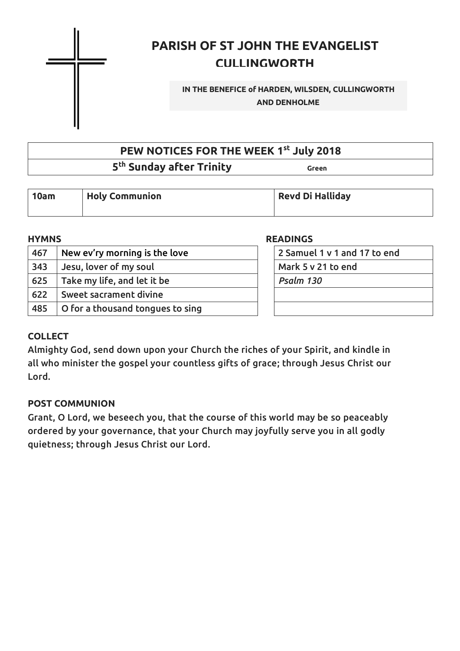

## **PARISH OF ST JOHN THE EVANGELIST CULLINGWORTH**

#### **IN THE BENEFICE of HARDEN, WILSDEN, CULLINGWORTH AND DENHOLME**

### **PEW NOTICES FOR THE WEEK 1 st July 2018**

### $5^{\text{th}}$  **Sunday after Trinity** Green Green

| 10am | <b>Holy Communion</b> | <b>Revd Di Halliday</b> |
|------|-----------------------|-------------------------|
|      |                       |                         |

| <b>HYMNS</b> |                                  | <b>READINGS</b>              |  |
|--------------|----------------------------------|------------------------------|--|
| 467          | New ev'ry morning is the love    | 2 Samuel 1 v 1 and 17 to end |  |
| 343          | Jesu, lover of my soul           | Mark 5 v 21 to end           |  |
| 625          | Take my life, and let it be      | Psalm 130                    |  |
| 622          | Sweet sacrament divine           |                              |  |
| 485          | O for a thousand tongues to sing |                              |  |

#### **COLLECT**

Almighty God, send down upon your Church the riches of your Spirit, and kindle in all who minister the gospel your countless gifts of grace; through Jesus Christ our Lord.

#### **POST COMMUNION**

Grant, O Lord, we beseech you, that the course of this world may be so peaceably ordered by your governance, that your Church may joyfully serve you in all godly quietness; through Jesus Christ our Lord.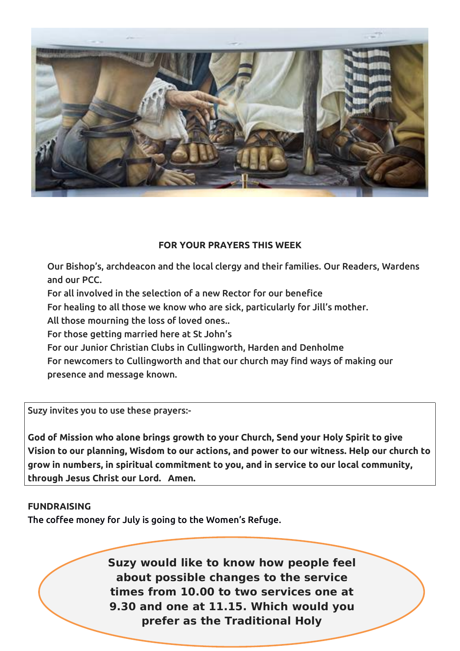

#### **FOR YOUR PRAYERS THIS WEEK**

Our Bishop's, archdeacon and the local clergy and their families. Our Readers, Wardens and our PCC.

For all involved in the selection of a new Rector for our benefice

For healing to all those we know who are sick, particularly for Jill's mother.

All those mourning the loss of loved ones..

For those getting married here at St John's

For our Junior Christian Clubs in Cullingworth, Harden and Denholme

For newcomers to Cullingworth and that our church may find ways of making our presence and message known.

Suzy invites you to use these prayers:-

**God of Mission who alone brings growth to your Church, Send your Holy Spirit to give Vision to our planning, Wisdom to our actions, and power to our witness. Help our church to grow in numbers, in spiritual commitment to you, and in service to ourlocal community, through Jesus Christ our Lord. Amen.**

#### **FUNDRAISING**

The coffee money for July is going to the Women's Refuge.

**Suzy would like to know how people feel about possible changes to the service times from 10.00 to two services one at 9.30 and one at 11.15. Which would you prefer as the Traditional Holy**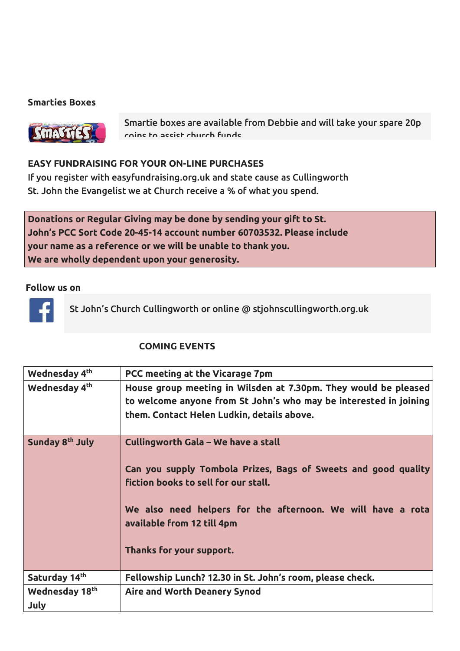#### **Smarties Boxes**



Smartie boxes are available from Debbie and will take your spare 20p coins to assist church funds.

#### **EASY FUNDRAISING FOR YOUR ON-LINE PURCHASES**

If you register with easyfundraising.org.uk and state cause as Cullingworth St. John the Evangelist we at Church receive a % of what you spend.

**Donations or Regular Giving may be done by sending your gift to St. John's PCC Sort Code 20-45-14 account number 60703532. Please include your name as a reference or we will be unable to thank you. We are wholly dependent upon your generosity.**

#### **Follow us on**



St John's Church Cullingworth or online @ stjohnscullingworth.org.uk

#### **COMING EVENTS**

| Wednesday 4 <sup>th</sup>   | PCC meeting at the Vicarage 7pm                                                                                                                                                                                                                                        |
|-----------------------------|------------------------------------------------------------------------------------------------------------------------------------------------------------------------------------------------------------------------------------------------------------------------|
| Wednesday 4 <sup>th</sup>   | House group meeting in Wilsden at 7.30pm. They would be pleased<br>to welcome anyone from St John's who may be interested in joining<br>them. Contact Helen Ludkin, details above.                                                                                     |
| Sunday 8 <sup>th</sup> July | Cullingworth Gala - We have a stall<br>Can you supply Tombola Prizes, Bags of Sweets and good quality<br>fiction books to sell for our stall.<br>We also need helpers for the afternoon. We will have a rota<br>available from 12 till 4pm<br>Thanks for your support. |
| Saturday 14th               | Fellowship Lunch? 12.30 in St. John's room, please check.                                                                                                                                                                                                              |
| Wednesday 18th<br>July      | Aire and Worth Deanery Synod                                                                                                                                                                                                                                           |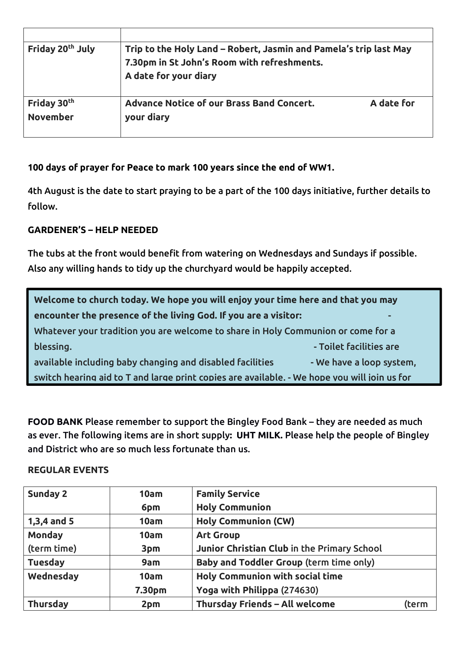| Friday 20 <sup>th</sup> July               | Trip to the Holy Land – Robert, Jasmin and Pamela's trip last May<br>7.30pm in St John's Room with refreshments.<br>A date for your diary |            |  |
|--------------------------------------------|-------------------------------------------------------------------------------------------------------------------------------------------|------------|--|
| Friday 30 <sup>th</sup><br><b>November</b> | Advance Notice of our Brass Band Concert.<br>your diary                                                                                   | A date for |  |

**100 days of prayer for Peace to mark 100 years since the end of WW1.**

4th August is the date to start praying to be a part of the 100 days initiative, further details to follow.

#### **GARDENER'S – HELP NEEDED**

The tubs at the front would benefit from watering on Wednesdays and Sundays if possible. Also any willing hands to tidy up the churchyard would be happily accepted.

| Welcome to church today. We hope you will enjoy your time here and that you may              |                          |  |  |
|----------------------------------------------------------------------------------------------|--------------------------|--|--|
| encounter the presence of the living God. If you are a visitor:                              |                          |  |  |
| Whatever your tradition you are welcome to share in Holy Communion or come for a             |                          |  |  |
| blessing.                                                                                    | - Toilet facilities are  |  |  |
| available including baby changing and disabled facilities                                    | - We have a loop system, |  |  |
| switch hearing aid to T and large print copies are available. - We hope you will ioin us for |                          |  |  |

**FOOD BANK** Please remember to support the Bingley Food Bank – they are needed as much as ever. The following items are in short supply**: UHT MILK.** Please help the people of Bingley and District who are so much less fortunate than us.

#### **REGULAR EVENTS**

| Sunday 2        | 10am               | <b>Family Service</b>                       |       |  |
|-----------------|--------------------|---------------------------------------------|-------|--|
|                 | 6pm                | <b>Holy Communion</b>                       |       |  |
| 1,3,4 and $5$   | 10am               | <b>Holy Communion (CW)</b>                  |       |  |
| <b>Monday</b>   | 10am               | <b>Art Group</b>                            |       |  |
| (term time)     | 3pm                | Junior Christian Club in the Primary School |       |  |
| <b>Tuesday</b>  | 9am                | Baby and Toddler Group (term time only)     |       |  |
| Wednesday       | 10am               | <b>Holy Communion with social time</b>      |       |  |
|                 | 7.30 <sub>pm</sub> | Yoga with Philippa (274630)                 |       |  |
| <b>Thursday</b> | 2pm                | Thursday Friends - All welcome              | (term |  |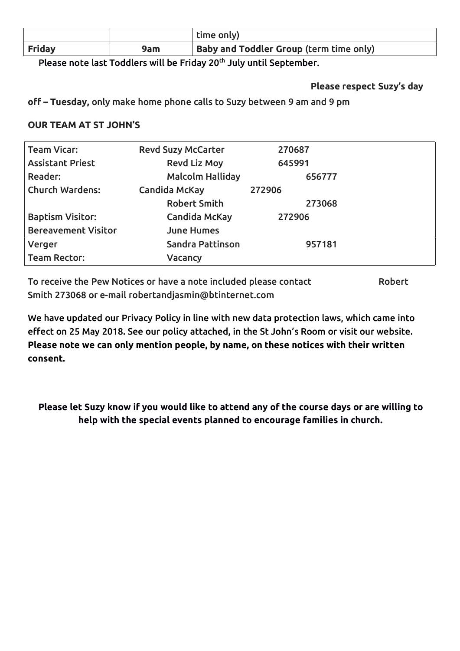|               |     | time only)                                     |
|---------------|-----|------------------------------------------------|
| <b>Friday</b> | 9am | <b>Baby and Toddler Group (term time only)</b> |

Please note last Toddlers will be Friday 20<sup>th</sup> July until September.

**Please respect Suzy's day**

**off – Tuesday,** only make home phone calls to Suzy between 9 am and 9 pm

#### **OUR TEAM AT ST JOHN'S**

| <b>Team Vicar:</b>         | <b>Revd Suzy McCarter</b> | 270687 |  |
|----------------------------|---------------------------|--------|--|
| <b>Assistant Priest</b>    | <b>Revd Liz Moy</b>       | 645991 |  |
| <b>Reader:</b>             | <b>Malcolm Halliday</b>   | 656777 |  |
| <b>Church Wardens:</b>     | Candida McKay             | 272906 |  |
|                            | <b>Robert Smith</b>       | 273068 |  |
| <b>Baptism Visitor:</b>    | <b>Candida McKay</b>      | 272906 |  |
| <b>Bereavement Visitor</b> | <b>June Humes</b>         |        |  |
| Verger                     | Sandra Pattinson          | 957181 |  |
| <b>Team Rector:</b>        | Vacancy                   |        |  |

To receive the Pew Notices or have a note included please contact Robert Smith 273068 or e-mail [robertandjasmin@btinternet.com](�� m i t : o e t n j s i @ t n e n t c)

We have updated our Privacy Policy in line with new data protection laws, which came into effect on 25 May 2018. See our policy attached, in the St John's Room or visit our website. **Please note we can only mention people, by name, on these notices with their written consent.**

**Please let Suzy know if you would like to attend any of the course days or are willing to help with the special events planned to encourage families in church.**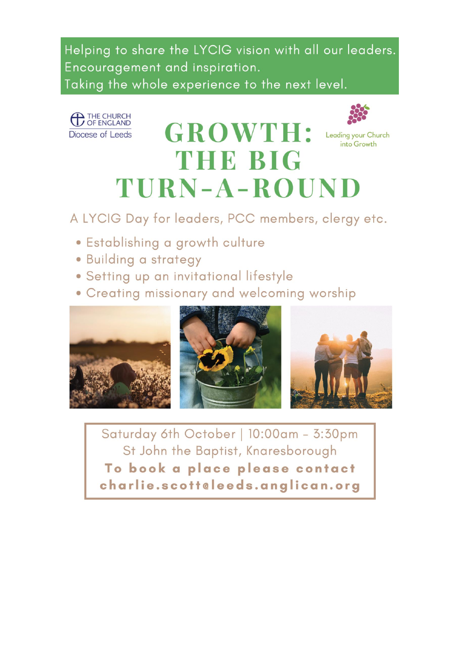Helping to share the LYCIG vision with all our leaders. Encouragement and inspiration. Taking the whole experience to the next level.



# **GROWTH: THE BIG** TURN-A-ROUND



Leading your Church into Growth

A LYCIG Day for leaders, PCC members, clergy etc.

- · Establishing a growth culture
- Building a strategy
- · Setting up an invitational lifestyle
- Creating missionary and welcoming worship



Saturday 6th October | 10:00am - 3:30pm St John the Baptist, Knaresborough To book a place please contact charlie.scotteleeds.anglican.org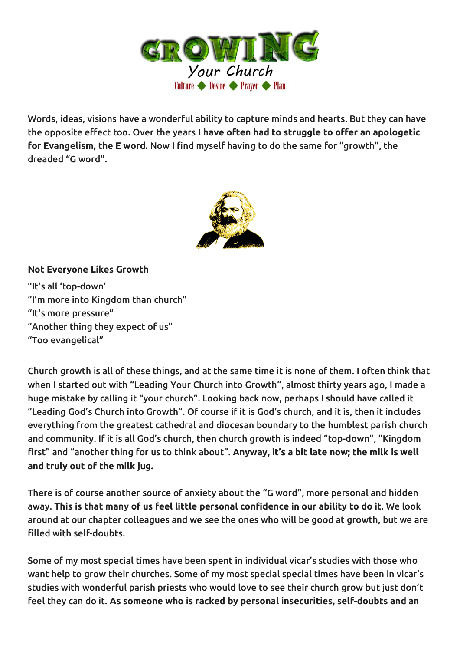

Words, ideas, visions have a wonderful ability to capture minds and hearts. But they can have the opposite effect too. Over the years **I have often had to struggle to offer an apologetic for Evangelism, the E word.** Now I find myself having to do the same for "growth", the dreaded "G word".



#### **Not Everyone Likes Growth**

"It's all 'top-down' "I'm more into Kingdom than church" "It's more pressure" "Another thing they expect of us" "Too evangelical"

Church growth is all of these things, and at the same time it is none of them. I often think that when I started out with "Leading Your Church into Growth", almost thirty years ago, I made a huge mistake by calling it "your church". Looking back now, perhaps I should have called it "Leading God's Church into Growth". Of course if it is God's church,and it is, then it includes everything from the greatest cathedral and diocesan boundary to the humblest parish church and community. If it is all God's church, then church growth is indeed "top-down", "Kingdom first" and "another thing for us to think about".**Anyway, it's a bit late now; the milk is well and truly out of the milk jug.**

There is of course another source of anxiety about the "G word", more personal and hidden away. **This is that many of us feel little personal confidence in our ability to do it.** We look around at our chapter colleagues and we see the ones who will be good at growth, but we are filled with self-doubts.

Some of my most special times have been spent in individual vicar's studies with those who want help to grow their churches. Some of my most special special times have been in vicar's studies with wonderful parish priests who would love to see their church grow but just don't feel they can do it. **As someone who is racked by personalinsecurities, self-doubts and an**